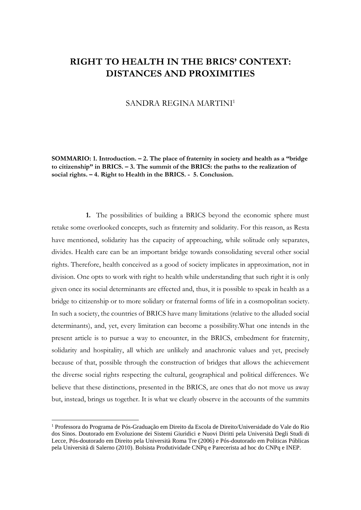## **RIGHT TO HEALTH IN THE BRICS' CONTEXT: DISTANCES AND PROXIMITIES**

## SANDRA REGINA MARTINI<sup>1</sup>

**SOMMARIO: 1. Introduction. – 2. The place of fraternity in society and health as a "bridge to citizenship" in BRICS. – 3. The summit of the BRICS: the paths to the realization of social rights. – 4. Right to Health in the BRICS. - 5. Conclusion.**

**1.** The possibilities of building a BRICS beyond the economic sphere must retake some overlooked concepts, such as fraternity and solidarity. For this reason, as Resta have mentioned, solidarity has the capacity of approaching, while solitude only separates, divides. Health care can be an important bridge towards consolidating several other social rights. Therefore, health conceived as a good of society implicates in approximation, not in division. One opts to work with right to health while understanding that such right it is only given once its social determinants are effected and, thus, it is possible to speak in health as a bridge to citizenship or to more solidary or fraternal forms of life in a cosmopolitan society. In such a society, the countries of BRICS have many limitations (relative to the alluded social determinants), and, yet, every limitation can become a possibility.What one intends in the present article is to pursue a way to encounter, in the BRICS, embedment for fraternity, solidarity and hospitality, all which are unlikely and anachronic values and yet, precisely because of that, possible through the construction of bridges that allows the achievement the diverse social rights respecting the cultural, geographical and political differences. We believe that these distinctions, presented in the BRICS, are ones that do not move us away but, instead, brings us together. It is what we clearly observe in the accounts of the summits

**.** 

<sup>1</sup> Professora do Programa de Pós-Graduação em Direito da Escola de Direito/Universidade do Vale do Rio dos Sinos. Doutorado em Evoluzione dei Sistemi Giuridici e Nuovi Diritti pela Università Degli Studi di Lecce, Pós-doutorado em Direito pela Università Roma Tre (2006) e Pós-doutorado em Políticas Públicas pela Università di Salerno (2010). Bolsista Produtividade CNPq e Parecerista ad hoc do CNPq e INEP.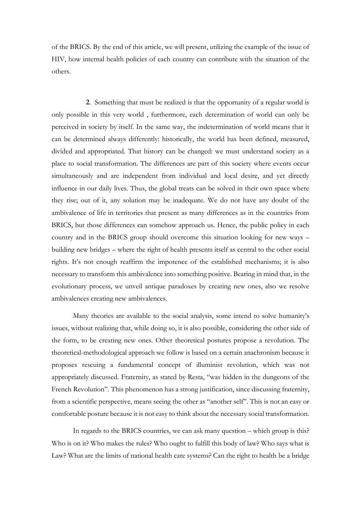of the BRICS. By the end of this article, we will present, utilizing the example of the issue of HIV, how internal health policies of each country can contribute with the situation of the others.

**2**. Something that must be realized is that the opportunity of a regular world is only possible in this very world , furthermore, each determination of world can only be perceived in society by itself. In the same way, the indetermination of world means that it can be determined always differently: historically, the world has been defined, measured, divided and appropriated. That history can be changed: we must understand society as a place to social transformation. The differences are part of this society where events occur simultaneously and are independent from individual and local desire, and yet directly influence in our daily lives. Thus, the global treats can be solved in their own space where they rise; out of it, any solution may be inadequate. We do not have any doubt of the ambivalence of life in territories that present as many differences as in the countries from BRICS, but those differences can somehow approach us. Hence, the public policy in each country and in the BRICS group should overcome this situation looking for new ways – building new bridges – where the right of health presents itself as central to the other social rights. It's not enough reaffirm the impotence of the established mechanisms; it is also necessary to transform this ambivalence into something positive. Bearing in mind that, in the evolutionary process, we unveil antique paradoxes by creating new ones, also we resolve ambivalences creating new ambivalences.

Many theories are available to the social analysis, some intend to solve humanity's issues, without realizing that, while doing so, it is also possible, considering the other side of the form, to be creating new ones. Other theoretical postures propose a revolution. The theoretical-methodological approach we follow is based on a certain anachronism because it proposes rescuing a fundamental concept of illuminist revolution, which was not appropriately discussed. Fraternity, as stated by Resta, "was hidden in the dungeons of the French Revolution". This phenomenon has a strong justification, since discussing fraternity, from a scientific perspective, means seeing the other as "another self". This is not an easy or comfortable posture because it is not easy to think about the necessary social transformation.

In regards to the BRICS countries, we can ask many question – which group is this? Who is on it? Who makes the rules? Who ought to fulfill this body of law? Who says what is Law? What are the limits of national health care systems? Can the right to health be a bridge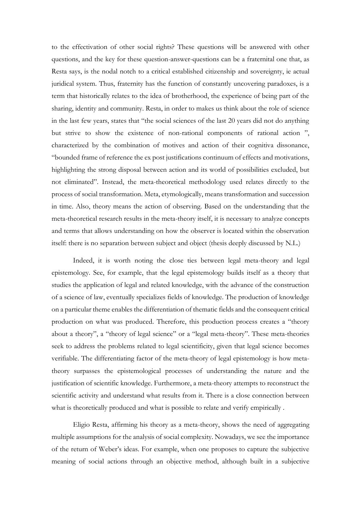to the effectivation of other social rights? These questions will be answered with other questions, and the key for these question-answer-questions can be a fraternital one that, as Resta says, is the nodal notch to a critical established citizenship and sovereignty, ie actual juridical system. Thus, fraternity has the function of constantly uncovering paradoxes, is a term that historically relates to the idea of brotherhood, the experience of being part of the sharing, identity and community. Resta, in order to makes us think about the role of science in the last few years, states that "the social sciences of the last 20 years did not do anything but strive to show the existence of non-rational components of rational action ", characterized by the combination of motives and action of their cognitiva dissonance, "bounded frame of reference the ex post justifications continuum of effects and motivations, highlighting the strong disposal between action and its world of possibilities excluded, but not eliminated". Instead, the meta-theoretical methodology used relates directly to the process of social transformation. Meta, etymologically, means transformation and succession in time. Also, theory means the action of observing. Based on the understanding that the meta-theoretical research results in the meta-theory itself, it is necessary to analyze concepts and terms that allows understanding on how the observer is located within the observation itself: there is no separation between subject and object (thesis deeply discussed by N.L.)

Indeed, it is worth noting the close ties between legal meta-theory and legal epistemology. See, for example, that the legal epistemology builds itself as a theory that studies the application of legal and related knowledge, with the advance of the construction of a science of law, eventually specializes fields of knowledge. The production of knowledge on a particular theme enables the differentiation of thematic fields and the consequent critical production on what was produced. Therefore, this production process creates a "theory about a theory", a "theory of legal science" or a "legal meta-theory". These meta-theories seek to address the problems related to legal scientificity, given that legal science becomes verifiable. The differentiating factor of the meta-theory of legal epistemology is how metatheory surpasses the epistemological processes of understanding the nature and the justification of scientific knowledge. Furthermore, a meta-theory attempts to reconstruct the scientific activity and understand what results from it. There is a close connection between what is theoretically produced and what is possible to relate and verify empirically .

Eligio Resta, affirming his theory as a meta-theory, shows the need of aggregating multiple assumptions for the analysis of social complexity. Nowadays, we see the importance of the return of Weber's ideas. For example, when one proposes to capture the subjective meaning of social actions through an objective method, although built in a subjective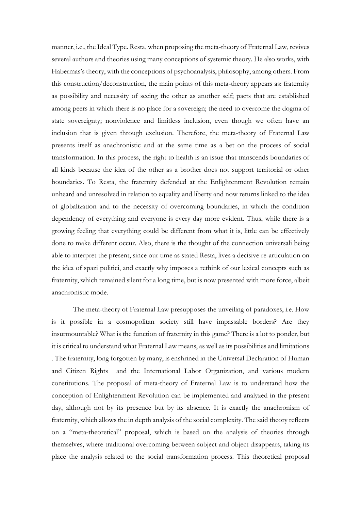manner, i.e., the Ideal Type. Resta, when proposing the meta-theory of Fraternal Law, revives several authors and theories using many conceptions of systemic theory. He also works, with Habermas's theory, with the conceptions of psychoanalysis, philosophy, among others. From this construction/deconstruction, the main points of this meta-theory appears as: fraternity as possibility and necessity of seeing the other as another self; pacts that are established among peers in which there is no place for a sovereign; the need to overcome the dogma of state sovereignty; nonviolence and limitless inclusion, even though we often have an inclusion that is given through exclusion. Therefore, the meta-theory of Fraternal Law presents itself as anachronistic and at the same time as a bet on the process of social transformation. In this process, the right to health is an issue that transcends boundaries of all kinds because the idea of the other as a brother does not support territorial or other boundaries. To Resta, the fraternity defended at the Enlightenment Revolution remain unheard and unresolved in relation to equality and liberty and now returns linked to the idea of globalization and to the necessity of overcoming boundaries, in which the condition dependency of everything and everyone is every day more evident. Thus, while there is a growing feeling that everything could be different from what it is, little can be effectively done to make different occur. Also, there is the thought of the connection universali being able to interpret the present, since our time as stated Resta, lives a decisive re-articulation on the idea of spazi politici, and exactly why imposes a rethink of our lexical concepts such as fraternity, which remained silent for a long time, but is now presented with more force, albeit anachronistic mode.

The meta-theory of Fraternal Law presupposes the unveiling of paradoxes, i.e. How is it possible in a cosmopolitan society still have impassable borders? Are they insurmountable? What is the function of fraternity in this game? There is a lot to ponder, but it is critical to understand what Fraternal Law means, as well as its possibilities and limitations . The fraternity, long forgotten by many, is enshrined in the Universal Declaration of Human and Citizen Rights and the International Labor Organization, and various modern constitutions. The proposal of meta-theory of Fraternal Law is to understand how the conception of Enlightenment Revolution can be implemented and analyzed in the present day, although not by its presence but by its absence. It is exactly the anachronism of fraternity, which allows the in depth analysis of the social complexity. The said theory reflects on a "meta-theoretical" proposal, which is based on the analysis of theories through themselves, where traditional overcoming between subject and object disappears, taking its place the analysis related to the social transformation process. This theoretical proposal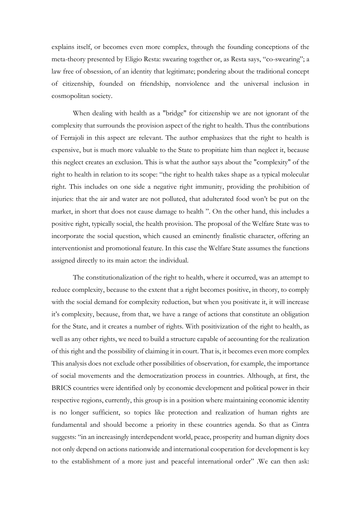explains itself, or becomes even more complex, through the founding conceptions of the meta-theory presented by Eligio Resta: swearing together or, as Resta says, "co-swearing"; a law free of obsession, of an identity that legitimate; pondering about the traditional concept of citizenship, founded on friendship, nonviolence and the universal inclusion in cosmopolitan society.

When dealing with health as a "bridge" for citizenship we are not ignorant of the complexity that surrounds the provision aspect of the right to health. Thus the contributions of Ferrajoli in this aspect are relevant. The author emphasizes that the right to health is expensive, but is much more valuable to the State to propitiate him than neglect it, because this neglect creates an exclusion. This is what the author says about the "complexity" of the right to health in relation to its scope: "the right to health takes shape as a typical molecular right. This includes on one side a negative right immunity, providing the prohibition of injuries: that the air and water are not polluted, that adulterated food won't be put on the market, in short that does not cause damage to health ". On the other hand, this includes a positive right, typically social, the health provision. The proposal of the Welfare State was to incorporate the social question, which caused an eminently finalistic character, offering an interventionist and promotional feature. In this case the Welfare State assumes the functions assigned directly to its main actor: the individual.

The constitutionalization of the right to health, where it occurred, was an attempt to reduce complexity, because to the extent that a right becomes positive, in theory, to comply with the social demand for complexity reduction, but when you positivate it, it will increase it's complexity, because, from that, we have a range of actions that constitute an obligation for the State, and it creates a number of rights. With positivization of the right to health, as well as any other rights, we need to build a structure capable of accounting for the realization of this right and the possibility of claiming it in court. That is, it becomes even more complex This analysis does not exclude other possibilities of observation, for example, the importance of social movements and the democratization process in countries. Although, at first, the BRICS countries were identified only by economic development and political power in their respective regions, currently, this group is in a position where maintaining economic identity is no longer sufficient, so topics like protection and realization of human rights are fundamental and should become a priority in these countries agenda. So that as Cintra suggests: "in an increasingly interdependent world, peace, prosperity and human dignity does not only depend on actions nationwide and international cooperation for development is key to the establishment of a more just and peaceful international order" .We can then ask: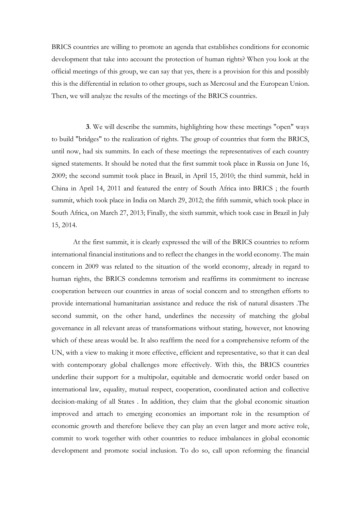BRICS countries are willing to promote an agenda that establishes conditions for economic development that take into account the protection of human rights? When you look at the official meetings of this group, we can say that yes, there is a provision for this and possibly this is the differential in relation to other groups, such as Mercosul and the European Union. Then, we will analyze the results of the meetings of the BRICS countries.

**3**. We will describe the summits, highlighting how these meetings "open" ways to build "bridges" to the realization of rights. The group of countries that form the BRICS, until now, had six summits. In each of these meetings the representatives of each country signed statements. It should be noted that the first summit took place in Russia on June 16, 2009; the second summit took place in Brazil, in April 15, 2010; the third summit, held in China in April 14, 2011 and featured the entry of South Africa into BRICS ; the fourth summit, which took place in India on March 29, 2012; the fifth summit, which took place in South Africa, on March 27, 2013; Finally, the sixth summit, which took case in Brazil in July 15, 2014.

At the first summit, it is clearly expressed the will of the BRICS countries to reform international financial institutions and to reflect the changes in the world economy. The main concern in 2009 was related to the situation of the world economy, already in regard to human rights, the BRICS condemns terrorism and reaffirms its commitment to increase cooperation between our countries in areas of social concern and to strengthen efforts to provide international humanitarian assistance and reduce the risk of natural disasters .The second summit, on the other hand, underlines the necessity of matching the global governance in all relevant areas of transformations without stating, however, not knowing which of these areas would be. It also reaffirm the need for a comprehensive reform of the UN, with a view to making it more effective, efficient and representative, so that it can deal with contemporary global challenges more effectively. With this, the BRICS countries underline their support for a multipolar, equitable and democratic world order based on international law, equality, mutual respect, cooperation, coordinated action and collective decision-making of all States . In addition, they claim that the global economic situation improved and attach to emerging economies an important role in the resumption of economic growth and therefore believe they can play an even larger and more active role, commit to work together with other countries to reduce imbalances in global economic development and promote social inclusion. To do so, call upon reforming the financial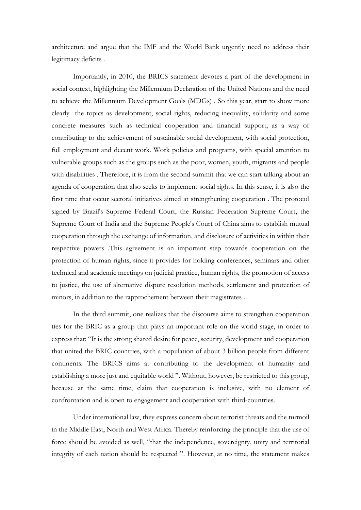architecture and argue that the IMF and the World Bank urgently need to address their legitimacy deficits .

Importantly, in 2010, the BRICS statement devotes a part of the development in social context, highlighting the Millennium Declaration of the United Nations and the need to achieve the Millennium Development Goals (MDGs) . So this year, start to show more clearly the topics as development, social rights, reducing inequality, solidarity and some concrete measures such as technical cooperation and financial support, as a way of contributing to the achievement of sustainable social development, with social protection, full employment and decent work. Work policies and programs, with special attention to vulnerable groups such as the groups such as the poor, women, youth, migrants and people with disabilities . Therefore, it is from the second summit that we can start talking about an agenda of cooperation that also seeks to implement social rights. In this sense, it is also the first time that occur sectoral initiatives aimed at strengthening cooperation . The protocol signed by Brazil's Supreme Federal Court, the Russian Federation Supreme Court, the Supreme Court of India and the Supreme People's Court of China aims to establish mutual cooperation through the exchange of information, and disclosure of activities in within their respective powers .This agreement is an important step towards cooperation on the protection of human rights, since it provides for holding conferences, seminars and other technical and academic meetings on judicial practice, human rights, the promotion of access to justice, the use of alternative dispute resolution methods, settlement and protection of minors, in addition to the rapprochement between their magistrates .

In the third summit, one realizes that the discourse aims to strengthen cooperation ties for the BRIC as a group that plays an important role on the world stage, in order to express that: "It is the strong shared desire for peace, security, development and cooperation that united the BRIC countries, with a population of about 3 billion people from different continents. The BRICS aims at contributing to the development of humanity and establishing a more just and equitable world ". Without, however, be restricted to this group, because at the same time, claim that cooperation is inclusive, with no element of confrontation and is open to engagement and cooperation with third-countries.

Under international law, they express concern about terrorist threats and the turmoil in the Middle East, North and West Africa. Thereby reinforcing the principle that the use of force should be avoided as well, "that the independence, sovereignty, unity and territorial integrity of each nation should be respected ". However, at no time, the statement makes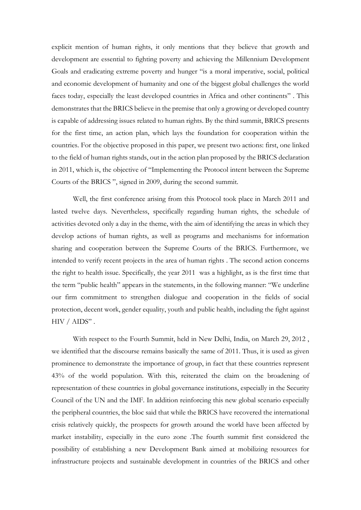explicit mention of human rights, it only mentions that they believe that growth and development are essential to fighting poverty and achieving the Millennium Development Goals and eradicating extreme poverty and hunger "is a moral imperative, social, political and economic development of humanity and one of the biggest global challenges the world faces today, especially the least developed countries in Africa and other continents" . This demonstrates that the BRICS believe in the premise that only a growing or developed country is capable of addressing issues related to human rights. By the third summit, BRICS presents for the first time, an action plan, which lays the foundation for cooperation within the countries. For the objective proposed in this paper, we present two actions: first, one linked to the field of human rights stands, out in the action plan proposed by the BRICS declaration in 2011, which is, the objective of "Implementing the Protocol intent between the Supreme Courts of the BRICS ", signed in 2009, during the second summit.

Well, the first conference arising from this Protocol took place in March 2011 and lasted twelve days. Nevertheless, specifically regarding human rights, the schedule of activities devoted only a day in the theme, with the aim of identifying the areas in which they develop actions of human rights, as well as programs and mechanisms for information sharing and cooperation between the Supreme Courts of the BRICS. Furthermore, we intended to verify recent projects in the area of human rights . The second action concerns the right to health issue. Specifically, the year 2011 was a highlight, as is the first time that the term "public health" appears in the statements, in the following manner: "We underline our firm commitment to strengthen dialogue and cooperation in the fields of social protection, decent work, gender equality, youth and public health, including the fight against HIV / AIDS" .

With respect to the Fourth Summit, held in New Delhi, India, on March 29, 2012 , we identified that the discourse remains basically the same of 2011. Thus, it is used as given prominence to demonstrate the importance of group, in fact that these countries represent 43% of the world population. With this, reiterated the claim on the broadening of representation of these countries in global governance institutions, especially in the Security Council of the UN and the IMF. In addition reinforcing this new global scenario especially the peripheral countries, the bloc said that while the BRICS have recovered the international crisis relatively quickly, the prospects for growth around the world have been affected by market instability, especially in the euro zone .The fourth summit first considered the possibility of establishing a new Development Bank aimed at mobilizing resources for infrastructure projects and sustainable development in countries of the BRICS and other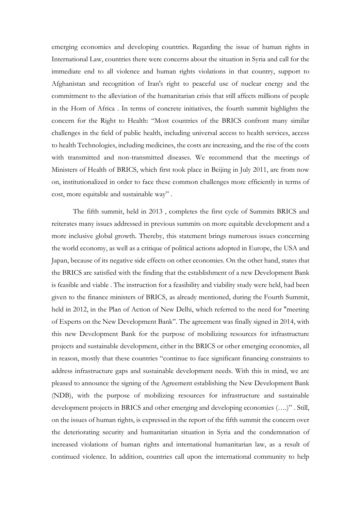emerging economies and developing countries. Regarding the issue of human rights in International Law, countries there were concerns about the situation in Syria and call for the immediate end to all violence and human rights violations in that country, support to Afghanistan and recognition of Iran's right to peaceful use of nuclear energy and the commitment to the alleviation of the humanitarian crisis that still affects millions of people in the Horn of Africa . In terms of concrete initiatives, the fourth summit highlights the concern for the Right to Health: "Most countries of the BRICS confront many similar challenges in the field of public health, including universal access to health services, access to health Technologies, including medicines, the costs are increasing, and the rise of the costs with transmitted and non-transmitted diseases. We recommend that the meetings of Ministers of Health of BRICS, which first took place in Beijing in July 2011, are from now on, institutionalized in order to face these common challenges more efficiently in terms of cost, more equitable and sustainable way" .

The fifth summit, held in 2013 , completes the first cycle of Summits BRICS and reiterates many issues addressed in previous summits on more equitable development and a more inclusive global growth. Thereby, this statement brings numerous issues concerning the world economy, as well as a critique of political actions adopted in Europe, the USA and Japan, because of its negative side effects on other economies. On the other hand, states that the BRICS are satisfied with the finding that the establishment of a new Development Bank is feasible and viable . The instruction for a feasibility and viability study were held, had been given to the finance ministers of BRICS, as already mentioned, during the Fourth Summit, held in 2012, in the Plan of Action of New Delhi, which referred to the need for "meeting of Experts on the New Development Bank". The agreement was finally signed in 2014, with this new Development Bank for the purpose of mobilizing resources for infrastructure projects and sustainable development, either in the BRICS or other emerging economies, all in reason, mostly that these countries "continue to face significant financing constraints to address infrastructure gaps and sustainable development needs. With this in mind, we are pleased to announce the signing of the Agreement establishing the New Development Bank (NDB), with the purpose of mobilizing resources for infrastructure and sustainable development projects in BRICS and other emerging and developing economies (….)" . Still, on the issues of human rights, is expressed in the report of the fifth summit the concern over the deteriorating security and humanitarian situation in Syria and the condemnation of increased violations of human rights and international humanitarian law, as a result of continued violence. In addition, countries call upon the international community to help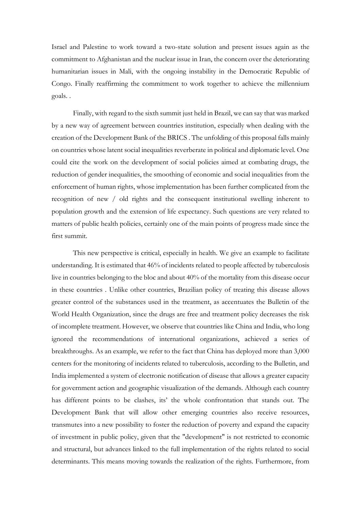Israel and Palestine to work toward a two-state solution and present issues again as the commitment to Afghanistan and the nuclear issue in Iran, the concern over the deteriorating humanitarian issues in Mali, with the ongoing instability in the Democratic Republic of Congo. Finally reaffirming the commitment to work together to achieve the millennium goals. .

Finally, with regard to the sixth summit just held in Brazil, we can say that was marked by a new way of agreement between countries institution, especially when dealing with the creation of the Development Bank of the BRICS . The unfolding of this proposal falls mainly on countries whose latent social inequalities reverberate in political and diplomatic level. One could cite the work on the development of social policies aimed at combating drugs, the reduction of gender inequalities, the smoothing of economic and social inequalities from the enforcement of human rights, whose implementation has been further complicated from the recognition of new / old rights and the consequent institutional swelling inherent to population growth and the extension of life expectancy. Such questions are very related to matters of public health policies, certainly one of the main points of progress made since the first summit.

This new perspective is critical, especially in health. We give an example to facilitate understanding. It is estimated that 46% of incidents related to people affected by tuberculosis live in countries belonging to the bloc and about 40% of the mortality from this disease occur in these countries . Unlike other countries, Brazilian policy of treating this disease allows greater control of the substances used in the treatment, as accentuates the Bulletin of the World Health Organization, since the drugs are free and treatment policy decreases the risk of incomplete treatment. However, we observe that countries like China and India, who long ignored the recommendations of international organizations, achieved a series of breakthroughs. As an example, we refer to the fact that China has deployed more than 3,000 centers for the monitoring of incidents related to tuberculosis, according to the Bulletin, and India implemented a system of electronic notification of disease that allows a greater capacity for government action and geographic visualization of the demands. Although each country has different points to be clashes, its' the whole confrontation that stands out. The Development Bank that will allow other emerging countries also receive resources, transmutes into a new possibility to foster the reduction of poverty and expand the capacity of investment in public policy, given that the "development" is not restricted to economic and structural, but advances linked to the full implementation of the rights related to social determinants. This means moving towards the realization of the rights. Furthermore, from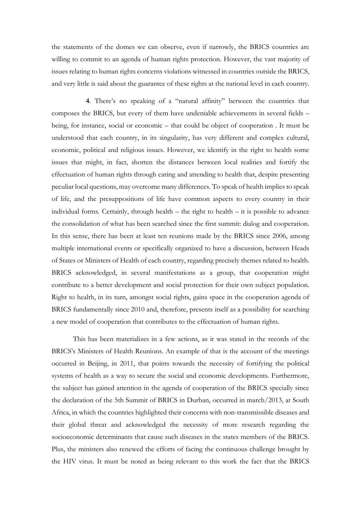the statements of the domes we can observe, even if narrowly, the BRICS countries are willing to commit to an agenda of human rights protection. However, the vast majority of issues relating to human rights concerns violations witnessed in countries outside the BRICS, and very little is said about the guarantee of these rights at the national level in each country.

**4**. There's no speaking of a "natural affinity" between the countries that composes the BRICS, but every of them have undeniable achievements in several fields – being, for instance, social or economic – that could be object of cooperation . It must be understood that each country, in its singularity, has very different and complex cultural, economic, political and religious issues. However, we identify in the right to health some issues that might, in fact, shorten the distances between local realities and fortify the effectuation of human rights through caring and attending to health that, despite presenting peculiar local questions, may overcome many differences. To speak of health implies to speak of life, and the presuppositions of life have common aspects to every country in their individual forms. Certainly, through health – the right to health – it is possible to advance the consolidation of what has been searched since the first summit: dialog and cooperation. In this sense, there has been at least ten reunions made by the BRICS since 2006, among multiple international events or specifically organized to have a discussion, between Heads of States or Ministers of Health of each country, regarding precisely themes related to health. BRICS acknowledged, in several manifestations as a group, that cooperation might contribute to a better development and social protection for their own subject population. Right to health, in its turn, amongst social rights, gains space in the cooperation agenda of BRICS fundamentally since 2010 and, therefore, presents itself as a possibility for searching a new model of cooperation that contributes to the effectuation of human rights.

This has been materializes in a few actions, as it was stated in the records of the BRICS's Ministers of Health Reunions. An example of that is the account of the meetings occurred in Beijing, in 2011, that points towards the necessity of fortifying the political systems of health as a way to secure the social and economic developments. Furthermore, the subject has gained attention in the agenda of cooperation of the BRICS specially since the declaration of the 5th Summit of BRICS in Durban, occurred in march/2013, at South Africa, in which the countries highlighted their concerns with non-transmissible diseases and their global threat and acknowledged the necessity of more research regarding the socioeconomic determinants that cause such diseases in the states members of the BRICS. Plus, the ministers also renewed the efforts of facing the continuous challenge brought by the HIV virus. It must be noted as being relevant to this work the fact that the BRICS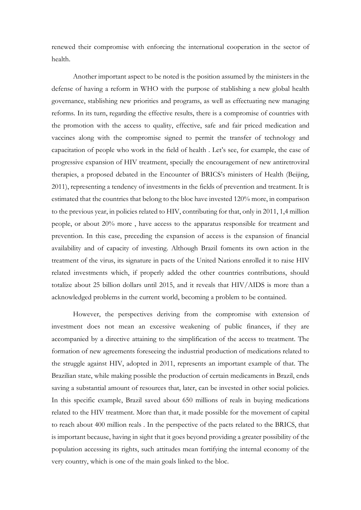renewed their compromise with enforcing the international cooperation in the sector of health.

Another important aspect to be noted is the position assumed by the ministers in the defense of having a reform in WHO with the purpose of stablishing a new global health governance, stablishing new priorities and programs, as well as effectuating new managing reforms. In its turn, regarding the effective results, there is a compromise of countries with the promotion with the access to quality, effective, safe and fair priced medication and vaccines along with the compromise signed to permit the transfer of technology and capacitation of people who work in the field of health . Let's see, for example, the case of progressive expansion of HIV treatment, specially the encouragement of new antiretroviral therapies, a proposed debated in the Encounter of BRICS's ministers of Health (Beijing, 2011), representing a tendency of investments in the fields of prevention and treatment. It is estimated that the countries that belong to the bloc have invested 120% more, in comparison to the previous year, in policies related to HIV, contributing for that, only in 2011, 1,4 million people, or about 20% more , have access to the apparatus responsible for treatment and prevention. In this case, preceding the expansion of access is the expansion of financial availability and of capacity of investing. Although Brazil foments its own action in the treatment of the virus, its signature in pacts of the United Nations enrolled it to raise HIV related investments which, if properly added the other countries contributions, should totalize about 25 billion dollars until 2015, and it reveals that HIV/AIDS is more than a acknowledged problems in the current world, becoming a problem to be contained.

However, the perspectives deriving from the compromise with extension of investment does not mean an excessive weakening of public finances, if they are accompanied by a directive attaining to the simplification of the access to treatment. The formation of new agreements foreseeing the industrial production of medications related to the struggle against HIV, adopted in 2011, represents an important example of that. The Brazilian state, while making possible the production of certain medicaments in Brazil, ends saving a substantial amount of resources that, later, can be invested in other social policies. In this specific example, Brazil saved about 650 millions of reals in buying medications related to the HIV treatment. More than that, it made possible for the movement of capital to reach about 400 million reals . In the perspective of the pacts related to the BRICS, that is important because, having in sight that it goes beyond providing a greater possibility of the population accessing its rights, such attitudes mean fortifying the internal economy of the very country, which is one of the main goals linked to the bloc.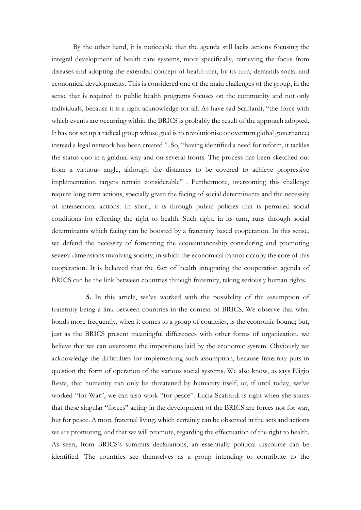By the other hand, it is noticeable that the agenda still lacks actions focusing the integral development of health care systems, more specifically, retrieving the focus from diseases and adopting the extended concept of health that, by its turn, demands social and economical developments. This is considered one of the main challenges of the group, in the sense that is required to public health programs focuses on the community and not only individuals, because it is a right acknowledge for all. As have sad Scaffardi, "the force with which events are occurring within the BRICS is probably the result of the approach adopted. It has not set up a radical group whose goal is to revolutionise or overturn global governance; instead a legal network has been created ". So, "having identified a need for reform, it tackles the status quo in a gradual way and on several fronts. The process has been sketched out from a virtuous angle, although the distances to be covered to achieve progressive implementation targets remain considerable" . Furthermore, overcoming this challenge require long term actions, specially given the facing of social determinants and the necessity of intersectoral actions. In short, it is through public policies that is permited social conditions for effecting the right to health. Such right, in its turn, runs through social determinants which facing can be boosted by a fraternity based cooperation. In this sense, we defend the necessity of fomenting the acquaintanceship considering and promoting several dimensions involving society, in which the economical cannot occupy the core of this cooperation. It is believed that the fact of health integrating the cooperation agenda of BRICS can be the link between countries through fraternity, taking seriously human rights.

**5.** In this article, we've worked with the possibility of the assumption of fraternity being a link between countries in the context of BRICS. We observe that what bonds more frequently, when it comes to a group of countries, is the economic bound; but, just as the BRICS present meaningful differences with other forms of organization, we believe that we can overcome the impositions laid by the economic system. Obviously we acknowledge the difficulties for implementing such assumption, because fraternity puts in question the form of operation of the various social systems. We also know, as says Eligio Resta, that humanity can only be threatened by humanity itself; or, if until today, we've worked "for War", we can also work "for peace". Lucia Scaffardi is right when she states that these singular "forces" acting in the development of the BRICS are forces not for war, but for peace. A more fraternal living, which certainly can be observed in the acts and actions we are promoting, and that we will promote, regarding the effectuation of the right to health. As seen, from BRICS's summits declarations, an essentially political discourse can be identified. The countries see themselves as a group intending to contribute to the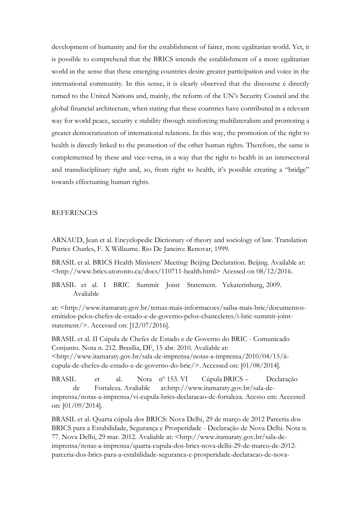development of humanity and for the establishment of fairer, more egalitarian world. Yet, it is possible to comprehend that the BRICS intends the establishment of a more egalitarian world in the sense that these emerging countries desire greater participation and voice in the international community. In this sense, it is clearly observed that the discourse é directly turned to the United Nations and, mainly, the reform of the UN's Security Council and the global financial architecture, when stating that these countries have contributed in a relevant way for world peace, security e stability through reinforcing multilateralism and promoting a greater democratization of international relations. In this way, the promotion of the right to health is directly linked to the promotion of the other human rights. Therefore, the same is complemented by these and vice-versa, in a way that the right to health in an intersectoral and transdisciplinary right and, so, from right to health, it's possible creating a "bridge" towards effectuating human rights.

## REFERENCES

ARNAUD, Jean et al. Encyclopedic Dictionary of theory and sociology of law. Translation Patrice Charles, F. X Willaume. Rio De Janeiro: Renovar, 1999.

BRASIL et al. BRICS Health Ministers' Meeting: Beijing Declaration. Beijing. Available at: <http://www.brics.utoronto.ca/docs/110711-health.html> Acessed on 08/12/2016.

BRASIL et al. I BRIC Summit Joint Statement. Yekaterinburg, 2009. Avaliable

at: <http://www.itamaraty.gov.br/temas-mais-informacoes/saiba-mais-bric/documentosemitidos-pelos-chefes-de-estado-e-de-governo-pelos-chanceleres/i-bric-summit-jointstatement/>. Accessed on: [12/07/2016].

BRASIL et al. II Cúpula de Chefes de Estado e de Governo do BRIC - Comunicado Conjunto. Nota n. 212. Brasília, DF, 15 abr. 2010. Avaliable at: <http://www.itamaraty.gov.br/sala-de-imprensa/notas-a-imprensa/2010/04/15/iicupula-de-chefes-de-estado-e-de-governo-do-bric/>.Accessed on: [01/08/2014].

BRASIL et al. Nota nº 153. VI Cúpula BRICS – Declaração de Fortaleza. Avaliable at:http://www.itamaraty.gov.br/sala-deimprensa/notas-a-imprensa/vi-cupula-brics-declaracao-de-fortaleza. Acesso em: Accessed on: [01/09/2014].

BRASIL et al. Quarta cúpula dos BRICS: Nova Delhi, 29 de março de 2012 Parceria dos BRICS para a Estabilidade, Segurança e Prosperidade - Declaração de Nova Delhi. Nota n. 77. Nova Delhi, 29 mar. 2012. Avaliable at: <http://www.itamaraty.gov.br/sala-deimprensa/notas-a-imprensa/quarta-cupula-dos-brics-nova-delhi-29-de-marco-de-2012 parceria-dos-brics-para-a-estabilidade-seguranca-e-prosperidade-declaracao-de-nova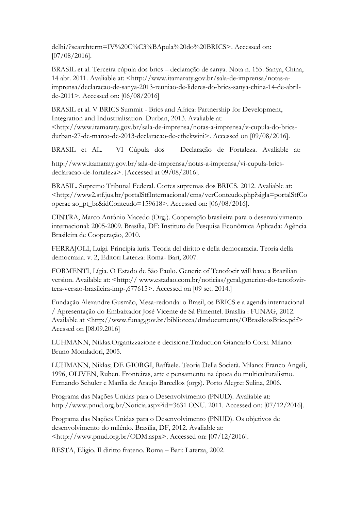delhi/?searchterm=IV%20C%C3%BApula%20do%20BRICS>. Accessed on: [07/08/2016].

BRASIL et al. Terceira cúpula dos brics – declaração de sanya. Nota n. 155. Sanya, China, 14 abr. 2011. Avaliable at: <http://www.itamaraty.gov.br/sala-de-imprensa/notas-aimprensa/declaracao-de-sanya-2013-reuniao-de-lideres-do-brics-sanya-china-14-de-abrilde-2011>. Accessed on: [06/08/2016]

BRASIL et al. V BRICS Summit - Brics and Africa: Partnership for Development, Integration and Industrialisation. Durban, 2013. Avaliable at: <http://www.itamaraty.gov.br/sala-de-imprensa/notas-a-imprensa/v-cupula-do-bricsdurban-27-de-marco-de-2013-declaracao-de-ethekwini>. Accessed on [09/08/2016].

BRASIL et AL. VI Cúpula dos Declaração de Fortaleza. Avaliable at:

http://www.itamaraty.gov.br/sala-de-imprensa/notas-a-imprensa/vi-cupula-bricsdeclaracao-de-fortaleza>. [Accessed at 09/08/2016].

BRASIL. Supremo Tribunal Federal. Cortes supremas dos BRICS. 2012. Avaliable at: <http://www2.stf.jus.br/portalStfInternacional/cms/verConteudo.php?sigla=portalStfCo operac ao\_pt\_br&idConteudo=159618>. Accessed on: [06/08/2016].

CINTRA, Marco Antônio Macedo (Org.). Cooperação brasileira para o desenvolvimento internacional: 2005-2009. Brasília, DF: Instituto de Pesquisa Econômica Aplicada: Agência Brasileira de Cooperação, 2010.

FERRAJOLI, Luigi. Principia iuris. Teoria del diritto e della democaracia. Teoria della democrazia. v. 2, Editori Laterza: Roma- Bari, 2007.

FORMENTI, Lígia. O Estado de São Paulo. Generic of Tenofocir will have a Brazilian version. Available at: <http:// www.estadao.com.br/noticias/geral,generico-do-tenofovirtera-versao-brasileira-imp-,677615>. Accessed on [09 set. 2014.]

Fundação Alexandre Gusmão, Mesa-redonda: o Brasil, os BRICS e a agenda internacional / Apresentação do Embaixador José Vicente de Sá Pimentel. Brasília : FUNAG, 2012. Available at <http://www.funag.gov.br/biblioteca/dmdocuments/OBrasileosBrics.pdf> Acessed on [08.09.2016]

LUHMANN, Niklas.Organizzazione e decisione.Traduction Giancarlo Corsi. Milano: Bruno Mondadori, 2005.

LUHMANN, Niklas; DE GIORGI, Raffaele. Teoria Della Società. Milano: Franco Angeli, 1996, OLIVEN, Ruben. Fronteiras, arte e pensamento na época do multiculturalismo. Fernando Schuler e Marília de Araujo Barcellos (orgs). Porto Alegre: Sulina, 2006.

Programa das Nações Unidas para o Desenvolvimento (PNUD). Avaliable at: http://www.pnud.org.br/Noticia.aspx?id=3631 ONU. 2011. Accessed on: [07/12/2016].

Programa das Nações Unidas para o Desenvolvimento (PNUD). Os objetivos de desenvolvimento do milênio. Brasília, DF, 2012. Avaliable at: <http://www.pnud.org.br/ODM.aspx>. Accessed on: [07/12/2016].

RESTA, Eligio. Il diritto frateno. Roma – Bari: Laterza, 2002.